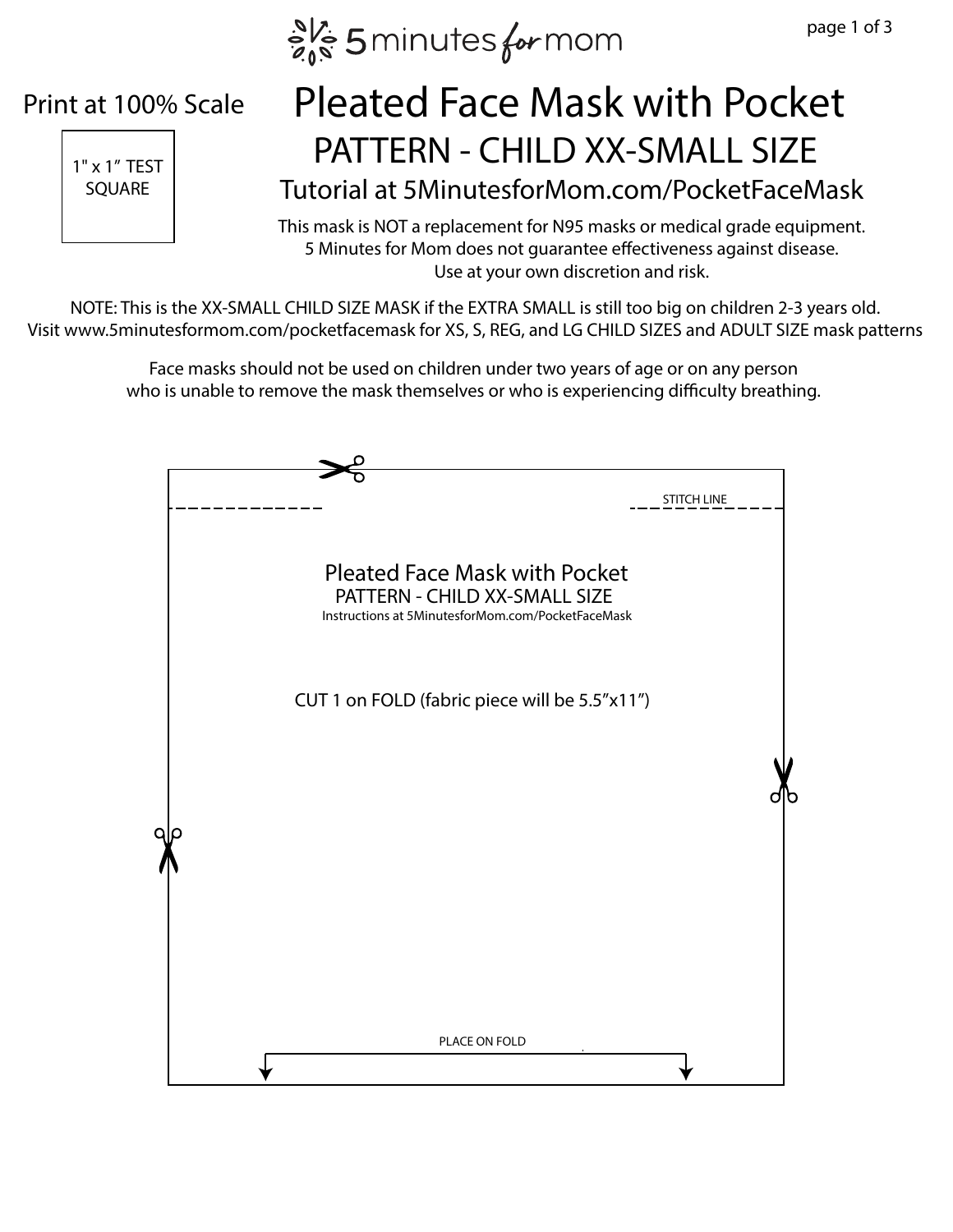

#### Print at 100% Scale



# $\left| \begin{array}{ccc} \frac{1}{11 \times 1^{7} \text{ TEST}} & \text{PATTERN} - \text{CHILD XX-SMALL SIZE} \end{array} \right|$ Pleated Face Mask with Pocket

Tutorial at 5MinutesforMom.com/PocketFaceMask

This mask is NOT a replacement for N95 masks or medical grade equipment. 5 Minutes for Mom does not guarantee effectiveness against disease. Use at your own discretion and risk.

NOTE: This is the XX-SMALL CHILD SIZE MASK if the EXTRA SMALL is still too big on children 2-3 years old. Visit www.5minutesformom.com/pocketfacemask for XS, S, REG, and LG CHILD SIZES and ADULT SIZE mask patterns

> Face masks should not be used on children under two years of age or on any person who is unable to remove the mask themselves or who is experiencing difficulty breathing.

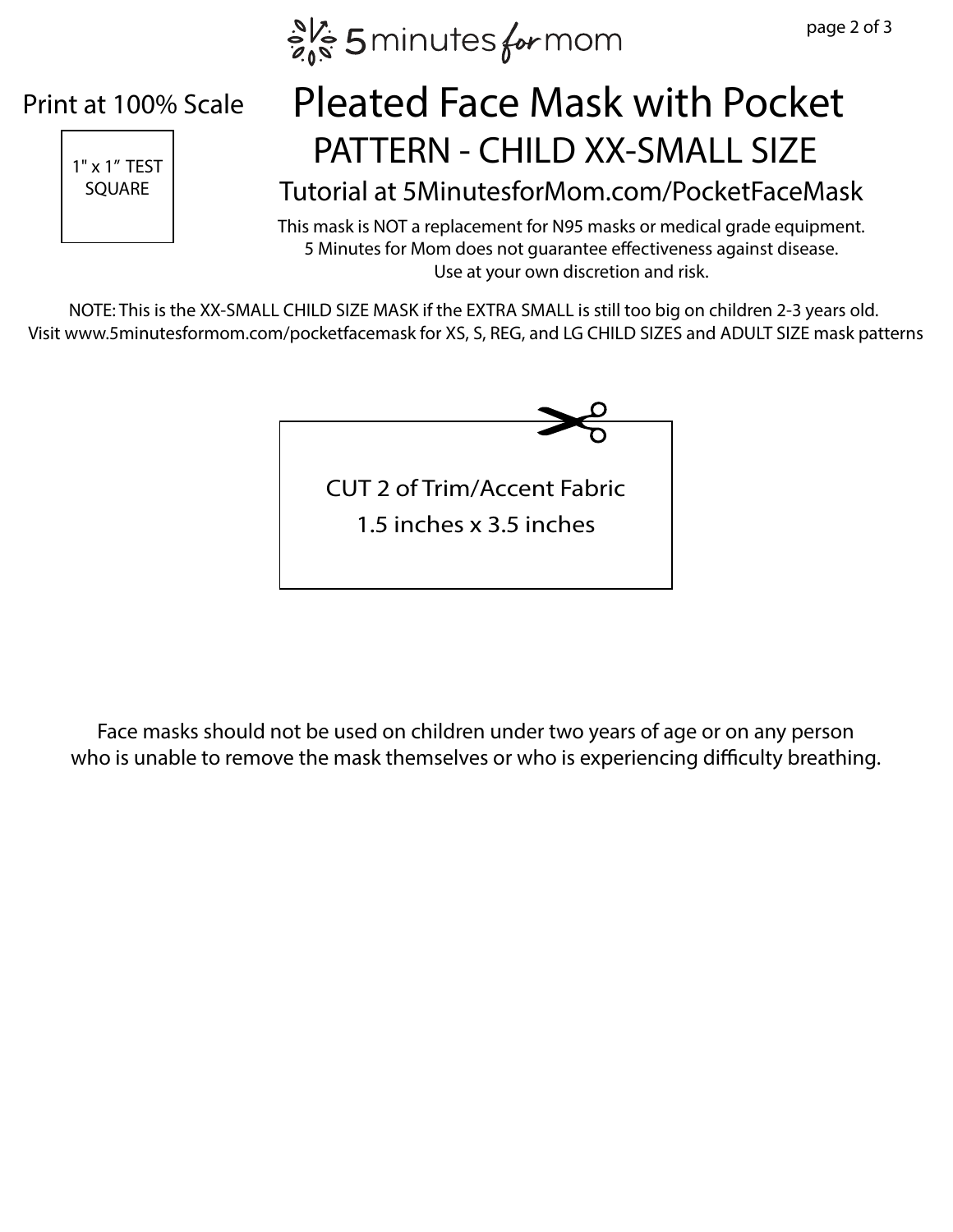$e^{N_c}$  5 minutes for mom

#### Print at 100% Scale



### $\left| \begin{array}{ccc} \frac{1}{11 \times 1^{7} \text{ TEST}} & \text{PATTERN} - \text{CHILD XX-SMALL SIZE} \end{array} \right|$ Pleated Face Mask with Pocket

SQUARE | Tutorial at 5MinutesforMom.com/PocketFaceMask

This mask is NOT a replacement for N95 masks or medical grade equipment. 5 Minutes for Mom does not guarantee effectiveness against disease. Use at your own discretion and risk.

NOTE: This is the XX-SMALL CHILD SIZE MASK if the EXTRA SMALL is still too big on children 2-3 years old. Visit www.5minutesformom.com/pocketfacemask for XS, S, REG, and LG CHILD SIZES and ADULT SIZE mask patterns



Face masks should not be used on children under two years of age or on any person who is unable to remove the mask themselves or who is experiencing difficulty breathing.